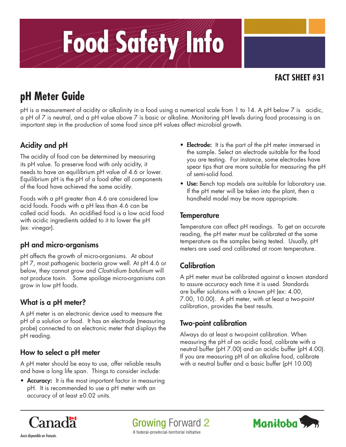# Food Safety Info

# **FACT SHEET #31**

# **pH Meter Guide**

pH is a measurement of acidity or alkalinity in a food using a numerical scale from 1 to 14. A pH below 7 is acidic, a pH of 7 is neutral, and a pH value above 7 is basic or alkaline. Monitoring pH levels during food processing is an important step in the production of some food since pH values affect microbial growth.

# Acidity and pH

The acidity of food can be determined by measuring its pH value. To preserve food with only acidity, it needs to have an equilibrium pH value of 4.6 or lower. Equilibrium pH is the pH of a food after all components of the food have achieved the same acidity.

Foods with a pH greater than 4.6 are considered low acid foods. Foods with a pH less than 4.6 can be called acid foods. An acidified food is a low acid food with acidic ingredients added to it to lower the pH (ex: vinegar).

# pH and micro-organisms

pH affects the growth of micro-organisms. At about pH 7, most pathogenic bacteria grow well. At pH 4.6 or below, they cannot grow and *Clostridium botulinum* will not produce toxin. Some spoilage micro-organisms can grow in low pH foods.

# What is a pH meter?

A pH meter is an electronic device used to measure the pH of a solution or food. It has an electrode (measuring probe) connected to an electronic meter that displays the pH reading.

#### How to select a pH meter

A pH meter should be easy to use, offer reliable results and have a long life span. Things to consider include:

• Accuracy: It is the most important factor in measuring pH. It is recommended to use a pH meter with an accuracy of at least ±0.02 units.

- **Electrode:** It is the part of the pH meter immersed in the sample. Select an electrode suitable for the food you are testing. For instance, some electrodes have spear tips that are more suitable for measuring the pH of semi-solid food.
- Use: Bench top models are suitable for laboratory use. If the pH meter will be taken into the plant, then a handheld model may be more appropriate.

#### **Temperature**

Temperature can affect pH readings. To get an accurate reading, the pH meter must be calibrated at the same temperature as the samples being tested. Usually, pH meters are used and calibrated at room temperature.

# **Calibration**

A pH meter must be calibrated against a known standard to assure accuracy each time it is used. Standards are buffer solutions with a known pH (ex: 4.00, 7.00, 10.00). A pH meter, with at least a two-point calibration, provides the best results.

# Two-point calibration

Always do at least a two-point calibration. When measuring the pH of an acidic food, calibrate with a neutral buffer (pH 7.00) and an acidic buffer (pH 4.00). If you are measuring pH of an alkaline food, calibrate with a neutral buffer and a basic buffer (pH 10.00)



**Growing Forward 2** A federal-provincial-territorial initiative